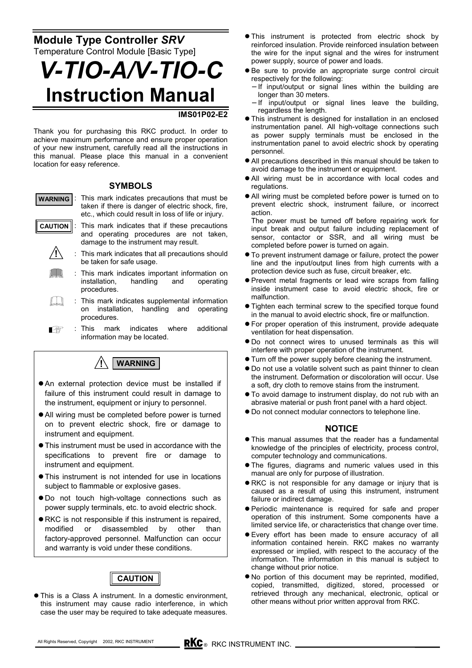## **Module Type Controller** *SRV* Temperature Control Module [Basic Type]

# *V-TIO-A/V-TIO-C* **Instruction Manual**

### **IMS01P02-E2**

Thank you for purchasing this RKC product. In order to achieve maximum performance and ensure proper operation of your new instrument, carefully read all the instructions in this manual. Please place this manual in a convenient location for easy reference.

### **SYMBOLS**

- : This mark indicates precautions that must be taken if there is danger of electric shock, fire, etc., which could result in loss of life or injury. **WARNING**
- : This mark indicates that if these precautions and operating procedures are not taken, damage to the instrument may result. **CAUTION**

**!**

- : This mark indicates that all precautions should be taken for safe usage.
- : This mark indicates important information on installation, handling and operating procedures.
- $\Box$ : This mark indicates supplemental information on installation, handling and operating procedures.
- This mark indicates where additional information may be located.



- An external protection device must be installed if failure of this instrument could result in damage to the instrument, equipment or injury to personnel.
- All wiring must be completed before power is turned on to prevent electric shock, fire or damage to instrument and equipment.
- This instrument must be used in accordance with the specifications to prevent fire or damage to instrument and equipment.
- $\bullet$  This instrument is not intended for use in locations subject to flammable or explosive gases.
- $\bullet$  Do not touch high-voltage connections such as power supply terminals, etc. to avoid electric shock.
- $\bullet$  RKC is not responsible if this instrument is repaired, modified or disassembled by other than factory-approved personnel. Malfunction can occur and warranty is void under these conditions.

**CAUTION**

 $\bullet$  This is a Class A instrument. In a domestic environment, this instrument may cause radio interference, in which case the user may be required to take adequate measures.

- $\bullet$  This instrument is protected from electric shock by reinforced insulation. Provide reinforced insulation between the wire for the input signal and the wires for instrument power supply, source of power and loads.
- $\bullet$  Be sure to provide an appropriate surge control circuit respectively for the following:
	- − If input/output or signal lines within the building are longer than 30 meters.
	- − If input/output or signal lines leave the building, regardless the length.
- $\bullet$  This instrument is designed for installation in an enclosed instrumentation panel. All high-voltage connections such as power supply terminals must be enclosed in the instrumentation panel to avoid electric shock by operating personnel.
- All precautions described in this manual should be taken to avoid damage to the instrument or equipment.
- All wiring must be in accordance with local codes and regulations.
- All wiring must be completed before power is turned on to prevent electric shock, instrument failure, or incorrect action.

The power must be turned off before repairing work for input break and output failure including replacement of sensor, contactor or SSR, and all wiring must be completed before power is turned on again.

- $\bullet$  To prevent instrument damage or failure, protect the power line and the input/output lines from high currents with a protection device such as fuse, circuit breaker, etc.
- **Prevent metal fragments or lead wire scraps from falling** inside instrument case to avoid electric shock, fire or malfunction.
- $\bullet$  Tighten each terminal screw to the specified torque found in the manual to avoid electric shock, fire or malfunction.
- $\bullet$  For proper operation of this instrument, provide adequate ventilation for heat dispensation.
- $\bullet$  Do not connect wires to unused terminals as this will interfere with proper operation of the instrument.
- $\bullet$  Turn off the power supply before cleaning the instrument.
- $\bullet$  Do not use a volatile solvent such as paint thinner to clean the instrument. Deformation or discoloration will occur. Use a soft, dry cloth to remove stains from the instrument.
- $\bullet$  To avoid damage to instrument display, do not rub with an abrasive material or push front panel with a hard object.
- $\bullet$  Do not connect modular connectors to telephone line.

## **NOTICE**

- $\bullet$  This manual assumes that the reader has a fundamental knowledge of the principles of electricity, process control, computer technology and communications.
- $\bullet$  The figures, diagrams and numeric values used in this manual are only for purpose of illustration.
- RKC is not responsible for any damage or injury that is caused as a result of using this instrument, instrument failure or indirect damage.
- zPeriodic maintenance is required for safe and proper operation of this instrument. Some components have a limited service life, or characteristics that change over time.
- $\bullet$  Every effort has been made to ensure accuracy of all information contained herein. RKC makes no warranty expressed or implied, with respect to the accuracy of the information. The information in this manual is subject to change without prior notice.
- $\bullet$  No portion of this document may be reprinted, modified, copied, transmitted, digitized, stored, processed or retrieved through any mechanical, electronic, optical or other means without prior written approval from RKC.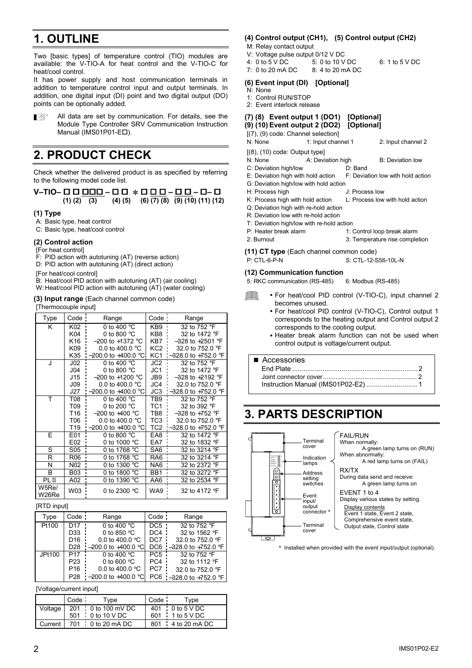## **1. OUTLINE**

Two [basic types] of temperature control (TIO) modules are available: the V-TIO-A for heat control and the V-TIO-C for heat/cool control.

It has power supply and host communication terminals in addition to temperature control input and output terminals. In addition, one digital input (DI) point and two digital output (DO) points can be optionally added.

All data are set by communication. For details, see the ■啓 Module Type Controller SRV Communication Instruction Manual (IMS01P01-E<sub>II</sub>).

## **2. PRODUCT CHECK**

Check whether the delivered product is as specified by referring to the following model code list.

#### **V–TIO– □ □ □□□ – □ □** \* □ <u>□ □ – □ □ – □ </u><br>(1) (2) (3) (4) (5) (6) (7) (8) (9) (10) (11) (12) **(1) (2) (3) (4) (5) (6) (7) (8) (9) (10) (11) (12)**

#### **(1) Type**

- A: Basic type, heat control
- C: Basic type, heat/cool control

#### **(2) Control action**

- [For heat control]
- F: PID action with autotuning (AT) (reverse action)
- D: PID action with autotuning (AT) (direct action)
- [For heat/cool control]
- B: Heat/cool PID action with autotuning (AT) (air cooling)
- W: Heat/cool PID action with autotuning (AT) (water cooling)

#### **(3) Input range** (Each channel common code)

[Thermocouple input]

| Type           | Code            | Range                     | Code            | Range                   |
|----------------|-----------------|---------------------------|-----------------|-------------------------|
| K.             | K02             | 0 to 400 $\degree$ C      | KB9             | 32 to 752 °F            |
|                | K04             | 0 to 800 $\degree$ C      | KB8             | 32 to 1472 °F           |
|                | K16             | $-200$ to $+1372$ °C      | KB7             | $-328$ to $+2501$ °F    |
|                | K09             | 0.0 to 400.0 $\degree$ C  | KC <sub>2</sub> | 32.0 to 752.0 °F        |
|                | K35             | $-200.0$ to $+400.0$ °C   | KC <sub>1</sub> | $-328.0$ to $+752.0$ °F |
| J              | J <sub>02</sub> | 0 to 400 $\degree$ C      | JC2             | 32 to 752 °F            |
|                | J <sub>04</sub> | 0 to 800 $\degree$ C      | JC1             | 32 to 1472 °F           |
|                | J15             | $-200$ to $+1200$ °C      | JB9             | $-328$ to $+2192$ °F    |
|                | J09             | 0.0 to 400.0 $\degree$ C  | JC4             | 32.0 to 752.0 °F        |
|                | J27             | $-200.0$ to $+400.0$ °C   | JC3             | –328.0 to +752.0 °F     |
| т              | T08             | 0 to 400 $\degree$ C      | TB <sub>9</sub> | 32 to 752 °F            |
|                | T09             | 0 to 200 $\degree$ C      | TC1             | 32 to 392 °F            |
|                | T16             | $-200$ to $+400$ °C       | TB8             | $-328$ to $+752$ °F     |
|                | T06             | 0.0 to 400.0 $^{\circ}$ C | TC3             | 32.0 to 752.0 °F        |
|                | T19             | $-200.0$ to $+400.0$ °C   | TC2             | –328.0 to +752.0 °F     |
| E.             | E01             | 0 to 800 $^{\circ}$ C     | EA8             | 32 to 1472 °F           |
|                | E02             | 0 to 1000 $\degree$ C     | EA7             | 32 to 1832 °F           |
| S              | S05             | 0 to 1768 °C              | SA6             | 32 to 3214 °F           |
| R              | R <sub>06</sub> | 0 to 1768 °C              | RA <sub>6</sub> | 32 to 3214 °F           |
| Ν              | N <sub>02</sub> | 0 to 1300 °C              | NA6             | 32 to 2372 °F           |
| B              | <b>B03</b>      | 0 to 1800 $\degree$ C     | BB1             | 32 to 3272 °F           |
| PLII           | A02             | 0 to 1390 °C              | AA6             | 32 to 2534 °F           |
| W5Re/<br>W26Re | W03             | 0 to 2300 $\degree$ C     | WA9             | 32 to 4172 °F           |

#### [RTD input]

| Type   | Code:           | Range                     | Code:           | Range                     |
|--------|-----------------|---------------------------|-----------------|---------------------------|
|        |                 |                           |                 |                           |
| Pt100  | D <sub>17</sub> | 0 to 400 $\degree$ C      | DC5             | 32 to 752 °F              |
|        | D33             | 0 to 850 $\degree$ C      | DC4             | 32 to 1562 °F             |
|        | D <sub>16</sub> | 0.0 to 400.0 $^{\circ}$ C | DC7             | 32.0 to 752.0 °F          |
|        | D <sub>28</sub> | $-200.0$ to $+400.0$ °C   | DC6             | $-328.0$ to $+752.0$ °F   |
| JPt100 | P17 :           | 0 to 400 $\degree$ C      | PC5             | 32 to 752 °F              |
|        | P <sub>23</sub> | 0 to 600 $\degree$ C      | PC <sub>4</sub> | 32 to 1112 °F             |
|        | P <sub>16</sub> | 0.0 to 400.0 $^{\circ}$ C | PC7             | 32.0 to 752.0 °F          |
|        | P <sub>28</sub> | $-200.0$ to $+400.0$ °C   | PC <sub>6</sub> | : $-328.0$ to $+752.0$ °F |

#### [Voltage/current input]

|         | Code | Tvpe               | Code : | Tvpe              |
|---------|------|--------------------|--------|-------------------|
| Voltage |      | 201 0 to 100 mV DC |        | 401 0 to 5 V DC   |
|         | 501  | $0$ to 10 V DC     | 601    | 1 to 5 VDC        |
| Current |      | 701 0 to 20 mA DC  |        | 801 4 to 20 mA DC |

#### **(4) Control output (CH1), (5) Control output (CH2)**

- M: Relay contact output
- V: Voltage pulse output 0/12 V DC
- 4: 0 to 5 V DC 5: 0 to 10 V DC 6: 1 to 5 V DC
- 7: 0 to 20 mA DC 8: 4 to 20 mA DC

#### **(6) Event input (DI) [Optional]**

- N: None
- 1: Control RUN/STOP 2: Event interlock release
- 

#### **(7) (8) Event output 1 (DO1) [Optional] (9) (10) Event output 2 (DO2) [Optional]**

- [(7), (9) code: Channel selection]
- N: None 1: Input channel 1 2: Input channel 2
- $[(8), (10)$  code: Output type]
- 
- N: None A: Deviation high B: Deviation low
- C: Deviation high/low D: Band
- E: Deviation high with hold action F: Deviation low with hold action
- G: Deviation high/low with hold action
- H: Process high J: Process low
- K: Process high with hold action L: Process low with hold action
- Q: Deviation high with re-hold action
- R: Deviation low with re-hold action
- T: Deviation high/low with re-hold action
- 
- P: Heater break alarm 1: Control loop break alarm
- 2: Burnout 3: Temperature rise completion

**(11) CT type** (Each channel common code)

P: CTL-6-P-N S: CTL-12-S56-10L-N

#### **(12) Communication function**

5: RKC communication (RS-485) 6: Modbus (RS-485)

- For heat/cool PID control (V-TIO-C), input channel 2 becomes unused.
	- For heat/cool PID control (V-TIO-C), Control output 1 corresponds to the heating output and Control output 2 corresponds to the cooling output.
	- Heater break alarm function can not be used when control output is voltage/current output.

### ■ Accessories

## **3. PARTS DESCRIPTION**



\* Installed when provided with the event input/output (optional).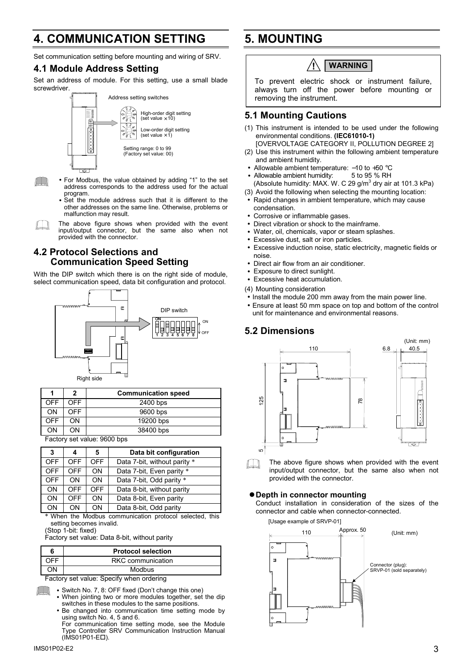## **4. COMMUNICATION SETTING**

Set communication setting before mounting and wiring of SRV.

## **4.1 Module Address Setting**

Set an address of module. For this setting, use a small blade screwdriver.



- For Modbus, the value obtained by adding "1" to the set  $\Box$ address corresponds to the address used for the actual program.
	- Set the module address such that it is different to the other addresses on the same line. Otherwise, problems or malfunction may result.
- $\mathbb{I}$   $\perp$ The above figure shows when provided with the event input/output connector, but the same also when not provided with the connector.

## **4.2 Protocol Selections and Communication Speed Setting**

With the DIP switch which there is on the right side of module, select communication speed, data bit configuration and protocol.



| 1   | 2          | <b>Communication speed</b> |
|-----|------------|----------------------------|
| OFF | <b>OFF</b> | 2400 bps                   |
| ΩN  | OFF        | 9600 bps                   |
| OFF | OΝ         | 19200 bps                  |
| OΝ  | OΝ         | 38400 bps                  |

Factory set value: 9600 bps

| 3          | 4          | 5          | Data bit configuration       |
|------------|------------|------------|------------------------------|
| <b>OFF</b> | OFF        | <b>OFF</b> | Data 7-bit, without parity * |
| <b>OFF</b> | <b>OFF</b> | ON         | Data 7-bit, Even parity *    |
| <b>OFF</b> | OΝ         | ON         | Data 7-bit, Odd parity *     |
| ON         | OFF        | OFF        | Data 8-bit, without parity   |
| ΟN         | <b>OFF</b> | ON         | Data 8-bit, Even parity      |
| ΟN         | OΝ         | ΩN         | Data 8-bit, Odd parity       |

When the Modbus communication protocol selected, this setting becomes invalid.

(Stop 1-bit: fixed)

Factory set value: Data 8-bit, without parity

| 6   | <b>Protocol selection</b> |
|-----|---------------------------|
| חבר | RKC communication         |
| ЭN  | Modbus                    |

Factory set value: Specify when ordering

- Switch No. 7, 8: OFF fixed (Don't change this one) • When jointing two or more modules together, set the dip
	- switches in these modules to the same positions. • Be changed into communication time setting mode by using switch No. 4, 5 and 6.

For communication time setting mode, see the Module Type Controller SRV Communication Instruction Manual  $($ IMS01P01-E $\square$ ).

## **5. MOUNTING**

## **! WARNING**

To prevent electric shock or instrument failure, always turn off the power before mounting or removing the instrument.

## **5.1 Mounting Cautions**

- (1) This instrument is intended to be used under the following environmental conditions. **(IEC61010-1)**
- [OVERVOLTAGE CATEGORY II, POLLUTION DEGREE 2] (2) Use this instrument within the following ambient temperature
- and ambient humidity. • Allowable ambient temperature: −10 to +50 °C
- Allowable ambient humidity: 5 to 95 % RH
- (Absolute humidity: MAX. W. C 29  $g/m<sup>3</sup>$  dry air at 101.3 kPa)
- (3) Avoid the following when selecting the mounting location: • Rapid changes in ambient temperature, which may cause condensation.
- Corrosive or inflammable gases.
- Direct vibration or shock to the mainframe.
- Water, oil, chemicals, vapor or steam splashes.
- Excessive dust, salt or iron particles.
- Excessive induction noise, static electricity, magnetic fields or noise.
- Direct air flow from an air conditioner.
- Exposure to direct sunlight.
- Excessive heat accumulation.
- (4) Mounting consideration
- Install the module 200 mm away from the main power line.
- Ensure at least 50 mm space on top and bottom of the control unit for maintenance and environmental reasons.

## **5.2 Dimensions**



 $\Box$ The above figure shows when provided with the event input/output connector, but the same also when not provided with the connector.

#### $\bullet$  **Depth in connector mounting**

Conduct installation in consideration of the sizes of the connector and cable when connector-connected.

[Usage example of SRVP-01]

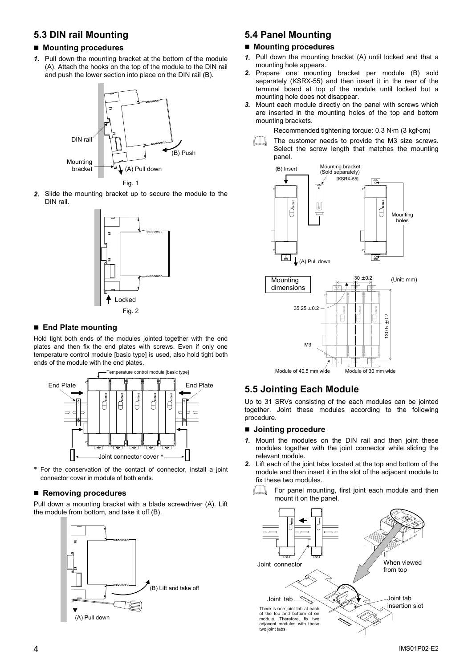## **5.3 DIN rail Mounting**

### **Mounting procedures**

*1.* Pull down the mounting bracket at the bottom of the module (A). Attach the hooks on the top of the module to the DIN rail and push the lower section into place on the DIN rail (B).



*2.* Slide the mounting bracket up to secure the module to the DIN rail.



## **End Plate mounting**

Hold tight both ends of the modules jointed together with the end plates and then fix the end plates with screws. Even if only one temperature control module [basic type] is used, also hold tight both ends of the module with the end plates.



\* For the conservation of the contact of connector, install a joint connector cover in module of both ends.

#### ■ Removing procedures

Pull down a mounting bracket with a blade screwdriver (A). Lift the module from bottom, and take it off (B).



## **5.4 Panel Mounting**

### **Mounting procedures**

- *1.* Pull down the mounting bracket (A) until locked and that a mounting hole appears.
- *2.* Prepare one mounting bracket per module (B) sold separately (KSRX-55) and then insert it in the rear of the terminal board at top of the module until locked but a mounting hole does not disappear.
- *3.* Mount each module directly on the panel with screws which are inserted in the mounting holes of the top and bottom mounting brackets.

Recommended tightening torque: 0.3 N⋅m (3 kgf⋅cm)



The customer needs to provide the M3 size screws. Select the screw length that matches the mounting panel.





## **5.5 Jointing Each Module**

Up to 31 SRVs consisting of the each modules can be jointed together. Joint these modules according to the following procedure.

#### **Jointing procedure**

- *1.* Mount the modules on the DIN rail and then joint these modules together with the joint connector while sliding the relevant module.
- *2.* Lift each of the joint tabs located at the top and bottom of the module and then insert it in the slot of the adjacent module to fix these two modules.



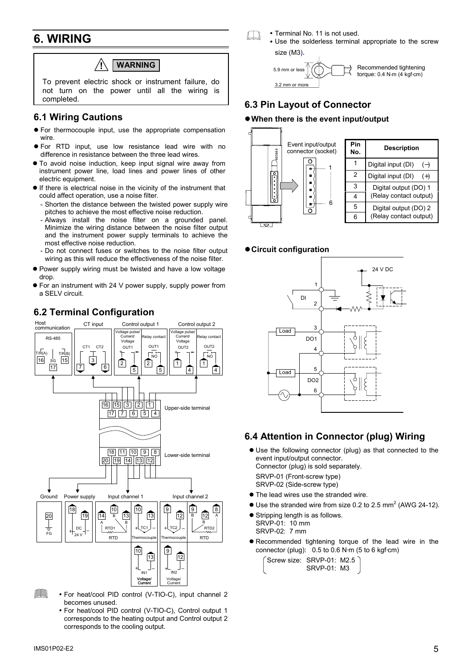## **6. WIRING**

**! WARNING** 

To prevent electric shock or instrument failure, do not turn on the power until all the wiring is completed.

## **6.1 Wiring Cautions**

- $\bullet$  For thermocouple input, use the appropriate compensation wire.
- **•** For RTD input, use low resistance lead wire with no difference in resistance between the three lead wires.
- $\bullet$  To avoid noise induction, keep input signal wire away from instrument power line, load lines and power lines of other electric equipment.
- $\bullet$  If there is electrical noise in the vicinity of the instrument that could affect operation, use a noise filter.
	- Shorten the distance between the twisted power supply wire pitches to achieve the most effective noise reduction.
	- Always install the noise filter on a grounded panel. Minimize the wiring distance between the noise filter output and the instrument power supply terminals to achieve the most effective noise reduction.
	- Do not connect fuses or switches to the noise filter output wiring as this will reduce the effectiveness of the noise filter.
- Power supply wiring must be twisted and have a low voltage dron
- $\bullet$  For an instrument with 24 V power supply, supply power from a SELV circuit.

**6.2 Terminal Configuration** 

#### Host<br>
communication CT input Control output 1 Control output 2 vage pi Voltage pulse/ Current/ RS-485 **Relay conta** Current/ Relay contact Voltage Voltage  $Q$ UT<sub>1</sub>  $\overline{OUT2}$   $\overline{OUT2}$ C<sub>T2</sub> OUT1 CT1  $\overline{\text{L/R}}(A)$  $T/R(F)$  $\overline{\Gamma_{\sf NO}^{\circ}}^{\circ}$ + − − + − − −  $\int_{N_0}^{\infty}$ 16 15  $\frac{3}{2}$   $\frac{1}{2}$   $\frac{2}{2}$   $\frac{2}{2}$ SG  $\Box$  $\boxed{1}$ 17  $7 \bullet 6$ 5 <u>17</u> 4 5  $16 \overline{15} \overline{3} \overline{2} \overline{1}$ Upper-side terminal  $\boxed{17}$   $\boxed{7}$   $\boxed{6}$   $\boxed{5}$   $\boxed{4}$ 18 11 10 9 8 Lower-side terminal  $20$  19 14 13 12 Ground Power supply Input channel 1 Input channel 2 18  $\sqrt{10}$ 10 ब्रि ा  $\sqrt{8}$  $\frac{1}{14}$   $\frac{1}{8}$   $\frac{1}{13}$  $\boxed{12}$ 20 19 13 B B 12 A A B B TC1 TC<sub>2</sub> .<br>RTD2 DC RTD1 ÷ <sup>+</sup> <sup>−</sup> 24 V FG **PTD** Thermocouple RTD Thermocouple 10 ্য  $|13$  $|12$ +∟ – +∟ J–<br>IN2 IN1 Voltage/ Voltage/ Current Current  $\Box$

- For heat/cool PID control (V-TIO-C), input channel 2 becomes unused.
	- For heat/cool PID control (V-TIO-C), Control output 1 corresponds to the heating output and Control output 2 corresponds to the cooling output.



• Terminal No. 11 is not used. • Use the solderless terminal appropriate to the screw size (M3)



Recommended tightening torque: 0.4 N⋅m (4 kgf⋅cm)

## **6.3 Pin Layout of Connector**

z**When there is the event input/output** 



#### $\bullet$  **Circuit configuration**



## **6.4 Attention in Connector (plug) Wiring**

- Use the following connector (plug) as that connected to the event input/output connector. Connector (plug) is sold separately. SRVP-01 (Front-screw type) SRVP-02 (Side-screw type)
- $\bullet$  The lead wires use the stranded wire.
- $\bullet$  Use the stranded wire from size 0.2 to 2.5 mm<sup>2</sup> (AWG 24-12).
- $\bullet$  Stripping length is as follows. SRVP-01: 10 mm SRVP-02: 7 mm
- $\bullet$  Recommended tightening torque of the lead wire in the connector (plug): 0.5 to 0.6 N⋅m (5 to 6 kgf⋅cm)

| Screw size: $SRVP-01$ : M2.5 $\vert$ |             |  |
|--------------------------------------|-------------|--|
|                                      | SRVP-01: M3 |  |